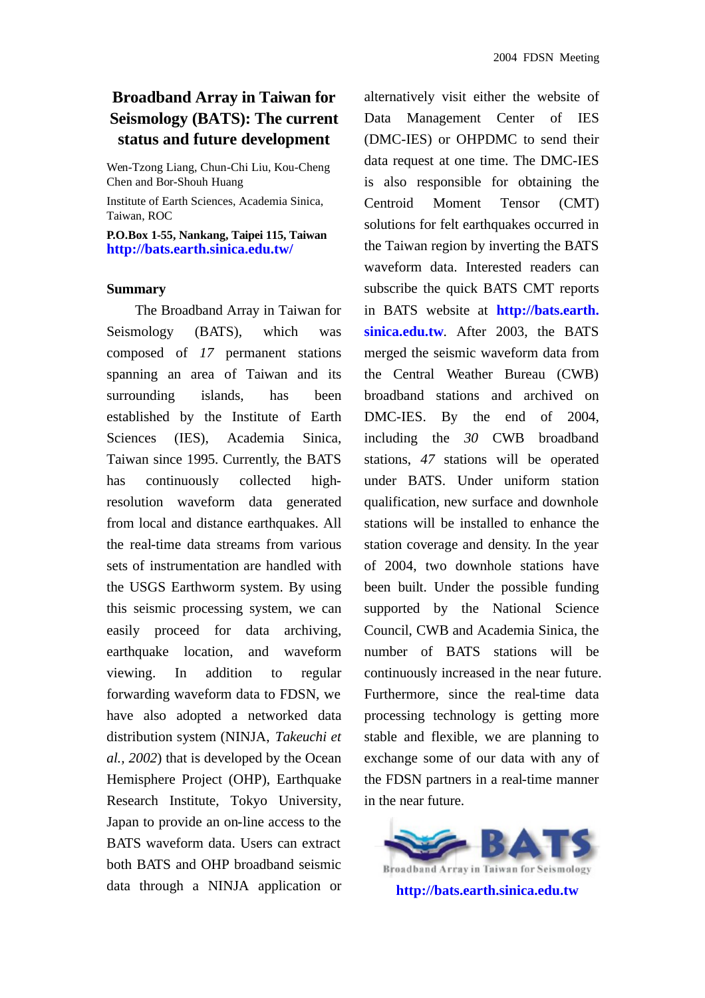## **Broadband Array in Taiwan for Seismology (BATS): The current status and future development**

Wen-Tzong Liang, Chun-Chi Liu, Kou-Cheng Chen and Bor-Shouh Huang

Institute of Earth Sciences, Academia Sinica, Taiwan, ROC

**P.O.Box 1-55, Nankang, Taipei 115, Taiwan http://bats.earth.sinica.edu.tw/**

## **Summary**

The Broadband Array in Taiwan for Seismology (BATS), which was composed of *17* permanent stations spanning an area of Taiwan and its surrounding islands, has been established by the Institute of Earth Sciences (IES), Academia Sinica, Taiwan since 1995. Currently, the BATS has continuously collected highresolution waveform data generated from local and distance earthquakes. All the real-time data streams from various sets of instrumentation are handled with the USGS Earthworm system. By using this seismic processing system, we can easily proceed for data archiving, earthquake location, and waveform viewing. In addition to regular forwarding waveform data to FDSN, we have also adopted a networked data distribution system (NINJA, *Takeuchi et al., 2002*) that is developed by the Ocean Hemisphere Project (OHP), Earthquake Research Institute, Tokyo University, Japan to provide an on-line access to the BATS waveform data. Users can extract both BATS and OHP broadband seismic data through a NINJA application or

alternatively visit either the website of Data Management Center of IES (DMC-IES) or OHPDMC to send their data request at one time. The DMC-IES is also responsible for obtaining the Centroid Moment Tensor (CMT) solutions for felt earthquakes occurred in the Taiwan region by inverting the BATS waveform data. Interested readers can subscribe the quick BATS CMT reports in BATS website at **http://bats.earth. sinica.edu.tw**. After 2003, the BATS merged the seismic waveform data from the Central Weather Bureau (CWB) broadband stations and archived on DMC-IES. By the end of 2004, including the *30* CWB broadband stations, *47* stations will be operated under BATS. Under uniform station qualification, new surface and downhole stations will be installed to enhance the station coverage and density. In the year of 2004, two downhole stations have been built. Under the possible funding supported by the National Science Council, CWB and Academia Sinica, the number of BATS stations will be continuously increased in the near future. Furthermore, since the real-time data processing technology is getting more stable and flexible, we are planning to exchange some of our data with any of the FDSN partners in a real-time manner in the near future.

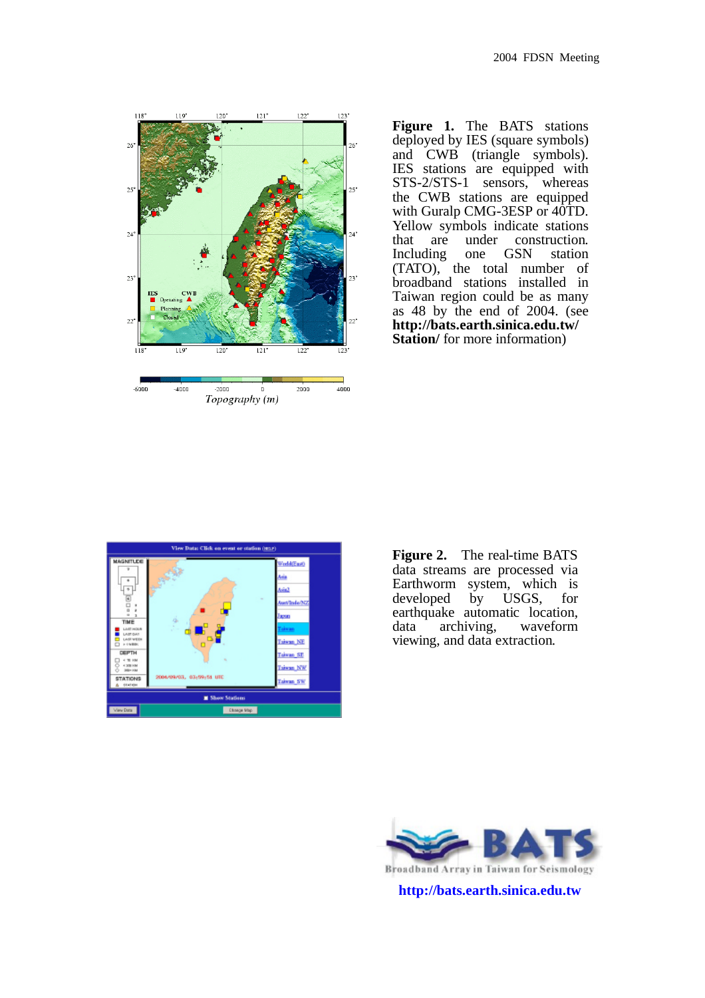

**Figure 1.** The BATS stations deployed by IES (square symbols) and CWB (triangle symbols). IES stations are equipped with STS-2/STS-1 sensors, whereas the CWB stations are equipped with Guralp CMG-3ESP or  $40\text{TD}$ . Yellow symbols indicate stations that are under construction.<br>Including one GSN station Including (TATO), the total number of broadband stations installed in Taiwan region could be as many as 48 by the end of 2004. (see **http://bats.earth.sinica.edu.tw/ Station**/ for more information)



**Figure 2.** The real-time BATS data streams are processed via Earthworm system, which is developed by USGS, for earthquake automatic location, data archiving, waveform viewing, and data extraction.



Broadband Array in Taiwan for Seismology

**http://bats.earth.sinica.edu.tw**